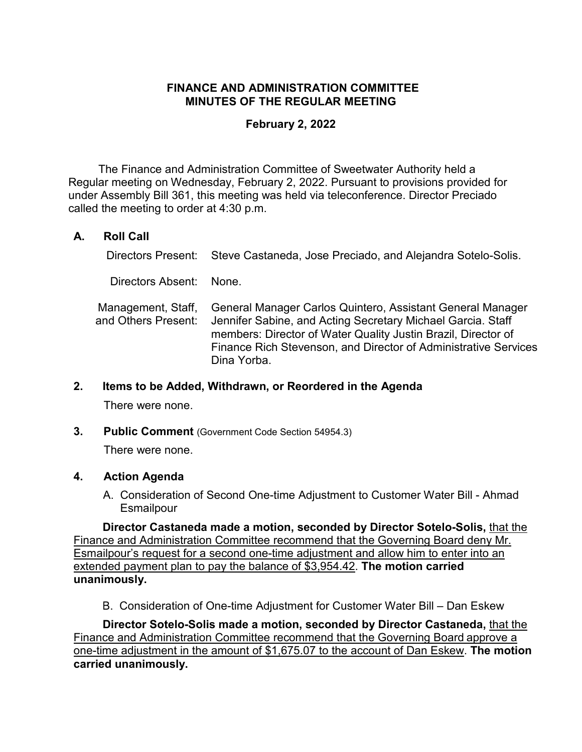## **FINANCE AND ADMINISTRATION COMMITTEE MINUTES OF THE REGULAR MEETING**

## **February 2, 2022**

The Finance and Administration Committee of Sweetwater Authority held a Regular meeting on Wednesday, February 2, 2022. Pursuant to provisions provided for under Assembly Bill 361, this meeting was held via teleconference. Director Preciado called the meeting to order at 4:30 p.m.

# **A. Roll Call**

Directors Present: Steve Castaneda, Jose Preciado, and Alejandra Sotelo-Solis.

Directors Absent: None.

Management, Staff, and Others Present: General Manager Carlos Quintero, Assistant General Manager Jennifer Sabine, and Acting Secretary Michael Garcia. Staff members: Director of Water Quality Justin Brazil, Director of Finance Rich Stevenson, and Director of Administrative Services Dina Yorba.

#### **2. Items to be Added, Withdrawn, or Reordered in the Agenda**

There were none.

**3. Public Comment** (Government Code Section 54954.3)

There were none.

## **4. Action Agenda**

A. Consideration of Second One-time Adjustment to Customer Water Bill - Ahmad **Esmailpour** 

**Director Castaneda made a motion, seconded by Director Sotelo-Solis,** that the Finance and Administration Committee recommend that the Governing Board deny Mr. Esmailpour's request for a second one-time adjustment and allow him to enter into an extended payment plan to pay the balance of \$3,954.42. **The motion carried unanimously.**

B. Consideration of One-time Adjustment for Customer Water Bill – Dan Eskew

**Director Sotelo-Solis made a motion, seconded by Director Castaneda,** that the Finance and Administration Committee recommend that the Governing Board approve a one-time adjustment in the amount of \$1,675.07 to the account of Dan Eskew. **The motion carried unanimously.**